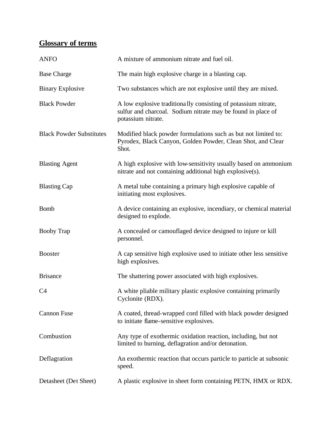## **Glossary of terms**

| <b>ANFO</b>                     | A mixture of ammonium nitrate and fuel oil.                                                                                                          |
|---------------------------------|------------------------------------------------------------------------------------------------------------------------------------------------------|
| <b>Base Charge</b>              | The main high explosive charge in a blasting cap.                                                                                                    |
| <b>Binary Explosive</b>         | Two substances which are not explosive until they are mixed.                                                                                         |
| <b>Black Powder</b>             | A low explosive traditionally consisting of potassium nitrate,<br>sulfur and charcoal. Sodium nitrate may be found in place of<br>potassium nitrate. |
| <b>Black Powder Substitutes</b> | Modified black powder formulations such as but not limited to:<br>Pyrodex, Black Canyon, Golden Powder, Clean Shot, and Clear<br>Shot.               |
| <b>Blasting Agent</b>           | A high explosive with low-sensitivity usually based on ammonium<br>nitrate and not containing additional high explosive(s).                          |
| <b>Blasting Cap</b>             | A metal tube containing a primary high explosive capable of<br>initiating most explosives.                                                           |
| <b>Bomb</b>                     | A device containing an explosive, incendiary, or chemical material<br>designed to explode.                                                           |
| <b>Booby Trap</b>               | A concealed or camouflaged device designed to injure or kill<br>personnel.                                                                           |
| <b>Booster</b>                  | A cap sensitive high explosive used to initiate other less sensitive<br>high explosives.                                                             |
| <b>Brisance</b>                 | The shattering power associated with high explosives.                                                                                                |
| C <sub>4</sub>                  | A white pliable military plastic explosive containing primarily<br>Cyclonite (RDX).                                                                  |
| <b>Cannon Fuse</b>              | A coated, thread-wrapped cord filled with black powder designed<br>to initiate flame-sensitive explosives.                                           |
| Combustion                      | Any type of exothermic oxidation reaction, including, but not<br>limited to burning, deflagration and/or detonation.                                 |
| Deflagration                    | An exothermic reaction that occurs particle to particle at subsonic<br>speed.                                                                        |
| Detasheet (Det Sheet)           | A plastic explosive in sheet form containing PETN, HMX or RDX.                                                                                       |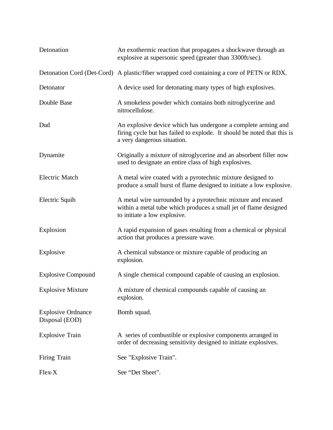| Detonation                                  | An exothermic reaction that propagates a shockwave through an<br>explosive at supersonic speed (greater than 3300ft/sec).                                               |
|---------------------------------------------|-------------------------------------------------------------------------------------------------------------------------------------------------------------------------|
|                                             | Detonation Cord (Det-Cord) A plastic/fiber wrapped cord containing a core of PETN or RDX.                                                                               |
| Detonator                                   | A device used for detonating many types of high explosives.                                                                                                             |
| Double Base                                 | A smokeless powder which contains both nitroglycerine and<br>nitrocellulose.                                                                                            |
| Dud                                         | An explosive device which has undergone a complete arming and<br>firing cycle but has failed to explode. It should be noted that this is<br>a very dangerous situation. |
| Dynamite                                    | Originally a mixture of nitroglycerine and an absorbent filler now<br>used to designate an entire class of high explosives.                                             |
| <b>Electric Match</b>                       | A metal wire coated with a pyrotechnic mixture designed to<br>produce a small burst of flame designed to initiate a low explosive.                                      |
| Electric Squib                              | A metal wire surrounded by a pyrotechnic mixture and encased<br>within a metal tube which produces a small jet of flame designed<br>to initiate a low explosive.        |
| Explosion                                   | A rapid expansion of gases resulting from a chemical or physical<br>action that produces a pressure wave.                                                               |
| Explosive                                   | A chemical substance or mixture capable of producing an<br>explosion.                                                                                                   |
| <b>Explosive Compound</b>                   | A single chemical compound capable of causing an explosion.                                                                                                             |
| <b>Explosive Mixture</b>                    | A mixture of chemical compounds capable of causing an<br>explosion.                                                                                                     |
| <b>Explosive Ordnance</b><br>Disposal (EOD) | Bomb squad.                                                                                                                                                             |
| <b>Explosive Train</b>                      | A series of combustible or explosive components arranged in<br>order of decreasing sensitivity designed to initiate explosives.                                         |
| Firing Train                                | See "Explosive Train".                                                                                                                                                  |
| Flex-X                                      | See "Det Sheet".                                                                                                                                                        |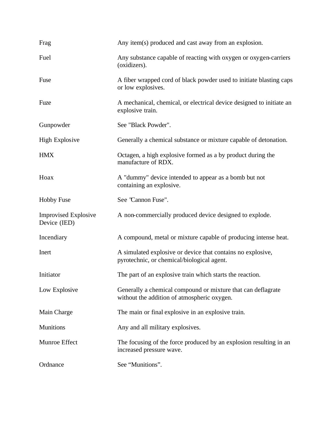| Frag                                        | Any item(s) produced and cast away from an explosion.                                                       |
|---------------------------------------------|-------------------------------------------------------------------------------------------------------------|
| Fuel                                        | Any substance capable of reacting with oxygen or oxygen-carriers<br>(oxidizers).                            |
| Fuse                                        | A fiber wrapped cord of black powder used to initiate blasting caps<br>or low explosives.                   |
| Fuze                                        | A mechanical, chemical, or electrical device designed to initiate an<br>explosive train.                    |
| Gunpowder                                   | See "Black Powder".                                                                                         |
| <b>High Explosive</b>                       | Generally a chemical substance or mixture capable of detonation.                                            |
| <b>HMX</b>                                  | Octagen, a high explosive formed as a by product during the<br>manufacture of RDX.                          |
| Hoax                                        | A "dummy" device intended to appear as a bomb but not<br>containing an explosive.                           |
| <b>Hobby Fuse</b>                           | See 'Cannon Fuse".                                                                                          |
| <b>Improvised Explosive</b><br>Device (IED) | A non-commercially produced device designed to explode.                                                     |
| Incendiary                                  | A compound, metal or mixture capable of producing intense heat.                                             |
| Inert                                       | A simulated explosive or device that contains no explosive,<br>pyrotechnic, or chemical/biological agent.   |
| Initiator                                   | The part of an explosive train which starts the reaction.                                                   |
| Low Explosive                               | Generally a chemical compound or mixture that can deflagrate<br>without the addition of atmospheric oxygen. |
| Main Charge                                 | The main or final explosive in an explosive train.                                                          |
| <b>Munitions</b>                            | Any and all military explosives.                                                                            |
| Munroe Effect                               | The focusing of the force produced by an explosion resulting in an<br>increased pressure wave.              |
| Ordnance                                    | See "Munitions".                                                                                            |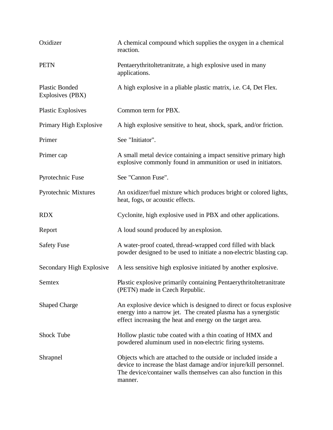| Oxidizer                                  | A chemical compound which supplies the oxygen in a chemical<br>reaction.                                                                                                                                          |
|-------------------------------------------|-------------------------------------------------------------------------------------------------------------------------------------------------------------------------------------------------------------------|
| <b>PETN</b>                               | Pentaerythritoltetranitrate, a high explosive used in many<br>applications.                                                                                                                                       |
| <b>Plastic Bonded</b><br>Explosives (PBX) | A high explosive in a pliable plastic matrix, i.e. C4, Det Flex.                                                                                                                                                  |
| <b>Plastic Explosives</b>                 | Common term for PBX.                                                                                                                                                                                              |
| Primary High Explosive                    | A high explosive sensitive to heat, shock, spark, and/or friction.                                                                                                                                                |
| Primer                                    | See "Initiator".                                                                                                                                                                                                  |
| Primer cap                                | A small metal device containing a impact sensitive primary high<br>explosive commonly found in ammunition or used in initiators.                                                                                  |
| Pyrotechnic Fuse                          | See "Cannon Fuse".                                                                                                                                                                                                |
| Pyrotechnic Mixtures                      | An oxidizer/fuel mixture which produces bright or colored lights,<br>heat, fogs, or acoustic effects.                                                                                                             |
| <b>RDX</b>                                | Cyclonite, high explosive used in PBX and other applications.                                                                                                                                                     |
| Report                                    | A loud sound produced by an explosion.                                                                                                                                                                            |
| <b>Safety Fuse</b>                        | A water-proof coated, thread-wrapped cord filled with black<br>powder designed to be used to initiate a non-electric blasting cap.                                                                                |
| Secondary High Explosive                  | A less sensitive high explosive initiated by another explosive.                                                                                                                                                   |
| Semtex                                    | Plastic explosive primarily containing Pentaerythritoltetranitrate<br>(PETN) made in Czech Republic.                                                                                                              |
| <b>Shaped Charge</b>                      | An explosive device which is designed to direct or focus explosive<br>energy into a narrow jet. The created plasma has a synergistic<br>effect increasing the heat and energy on the target area.                 |
| <b>Shock Tube</b>                         | Hollow plastic tube coated with a thin coating of HMX and<br>powdered aluminum used in non-electric firing systems.                                                                                               |
| Shrapnel                                  | Objects which are attached to the outside or included inside a<br>device to increase the blast damage and/or injure/kill personnel.<br>The device/container walls themselves can also function in this<br>manner. |